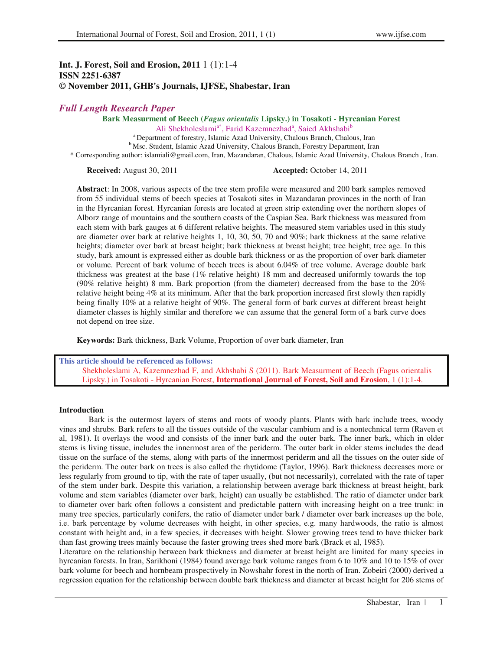# **Int. J. Forest, Soil and Erosion, 2011** 1 (1):1-4 **ISSN 2251-6387 © November 2011, GHB's Journals, IJFSE, Shabestar, Iran**

# *Full Length Research Paper*

# **Bark Measurment of Beech (***Fagus orientalis* **Lipsky.) in Tosakoti - Hyrcanian Forest**

Ali Shekholeslami<sup>a\*</sup>, Farid Kazemnezhad<sup>a</sup>, Saied Akhshabi<sup>b</sup>

<sup>a</sup> Department of forestry, Islamic Azad University, Chalous Branch, Chalous, Iran <sup>b</sup>Msc. Student, Islamic Azad University, Chalous Branch, Forestry Department, Iran

\* Corresponding author: islamiali@gmail.com, Iran, Mazandaran, Chalous, Islamic Azad University, Chalous Branch , Iran.

**Received:** August 30, 2011 **Accepted:** October 14, 2011

**Abstract**: In 2008, various aspects of the tree stem profile were measured and 200 bark samples removed from 55 individual stems of beech species at Tosakoti sites in Mazandaran provinces in the north of Iran in the Hyrcanian forest. Hyrcanian forests are located at green strip extending over the northern slopes of Alborz range of mountains and the southern coasts of the Caspian Sea. Bark thickness was measured from each stem with bark gauges at 6 different relative heights. The measured stem variables used in this study are diameter over bark at relative heights 1, 10, 30, 50, 70 and 90%; bark thickness at the same relative heights; diameter over bark at breast height; bark thickness at breast height; tree height; tree age. In this study, bark amount is expressed either as double bark thickness or as the proportion of over bark diameter or volume. Percent of bark volume of beech trees is about 6.04% of tree volume. Average double bark thickness was greatest at the base (1% relative height) 18 mm and decreased uniformly towards the top (90% relative height) 8 mm. Bark proportion (from the diameter) decreased from the base to the 20% relative height being 4% at its minimum. After that the bark proportion increased first slowly then rapidly being finally 10% at a relative height of 90%. The general form of bark curves at different breast height diameter classes is highly similar and therefore we can assume that the general form of a bark curve does not depend on tree size.

**Keywords:** Bark thickness, Bark Volume, Proportion of over bark diameter, Iran

**This article should be referenced as follows:**  Shekholeslami A, Kazemnezhad F, and Akhshabi S (2011). Bark Measurment of Beech (Fagus orientalis Lipsky.) in Tosakoti - Hyrcanian Forest, **International Journal of Forest, Soil and Erosion**, 1 (1):1-4

### **Introduction**

Bark is the outermost layers of stems and roots of woody plants. Plants with bark include trees, woody vines and shrubs. Bark refers to all the tissues outside of the vascular cambium and is a nontechnical term (Raven et al, 1981). It overlays the wood and consists of the inner bark and the outer bark. The inner bark, which in older stems is living tissue, includes the innermost area of the periderm. The outer bark in older stems includes the dead tissue on the surface of the stems, along with parts of the innermost periderm and all the tissues on the outer side of the periderm. The outer bark on trees is also called the rhytidome (Taylor, 1996). Bark thickness decreases more or less regularly from ground to tip, with the rate of taper usually, (but not necessarily), correlated with the rate of taper of the stem under bark. Despite this variation, a relationship between average bark thickness at breast height, bark volume and stem variables (diameter over bark, height) can usually be established. The ratio of diameter under bark to diameter over bark often follows a consistent and predictable pattern with increasing height on a tree trunk: in many tree species, particularly conifers, the ratio of diameter under bark / diameter over bark increases up the bole, i.e. bark percentage by volume decreases with height, in other species, e.g. many hardwoods, the ratio is almost constant with height and, in a few species, it decreases with height. Slower growing trees tend to have thicker bark than fast growing trees mainly because the faster growing trees shed more bark (Brack et al, 1985).

Literature on the relationship between bark thickness and diameter at breast height are limited for many species in hyrcanian forests. In Iran, Sarikhoni (1984) found average bark volume ranges from 6 to 10% and 10 to 15% of over bark volume for beech and hornbeam prospectively in Nowshahr forest in the north of Iran. Zobeiri (2000) derived a regression equation for the relationship between double bark thickness and diameter at breast height for 206 stems of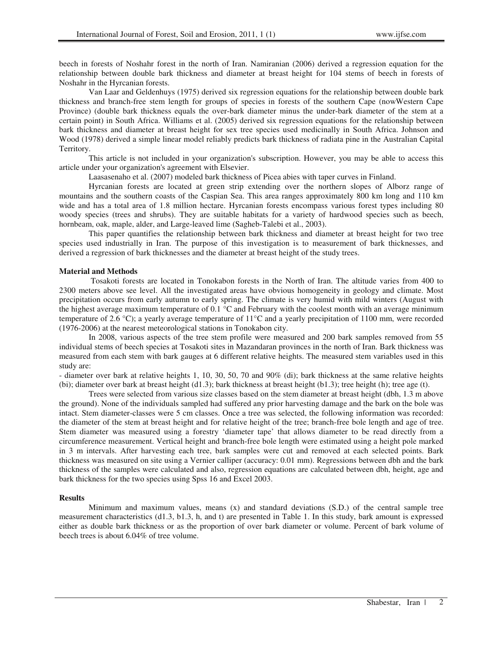beech in forests of Noshahr forest in the north of Iran. Namiranian (2006) derived a regression equation for the relationship between double bark thickness and diameter at breast height for 104 stems of beech in forests of Noshahr in the Hyrcanian forests.

Van Laar and Geldenhuys (1975) derived six regression equations for the relationship between double bark thickness and branch-free stem length for groups of species in forests of the southern Cape (nowWestern Cape Province) (double bark thickness equals the over-bark diameter minus the under-bark diameter of the stem at a certain point) in South Africa. Williams et al. (2005) derived six regression equations for the relationship between bark thickness and diameter at breast height for sex tree species used medicinally in South Africa. Johnson and Wood (1978) derived a simple linear model reliably predicts bark thickness of radiata pine in the Australian Capital Territory.

This article is not included in your organization's subscription. However, you may be able to access this article under your organization's agreement with Elsevier.

Laasasenaho et al. (2007) modeled bark thickness of Picea abies with taper curves in Finland.

Hyrcanian forests are located at green strip extending over the northern slopes of Alborz range of mountains and the southern coasts of the Caspian Sea. This area ranges approximately 800 km long and 110 km wide and has a total area of 1.8 million hectare. Hyrcanian forests encompass various forest types including 80 woody species (trees and shrubs). They are suitable habitats for a variety of hardwood species such as beech, hornbeam, oak, maple, alder, and Large-leaved lime (Sagheb-Talebi et al., 2003).

This paper quantifies the relationship between bark thickness and diameter at breast height for two tree species used industrially in Iran. The purpose of this investigation is to measurement of bark thicknesses, and derived a regression of bark thicknesses and the diameter at breast height of the study trees.

## **Material and Methods**

 Tosakoti forests are located in Tonokabon forests in the North of Iran. The altitude varies from 400 to 2300 meters above see level. All the investigated areas have obvious homogeneity in geology and climate. Most precipitation occurs from early autumn to early spring. The climate is very humid with mild winters (August with the highest average maximum temperature of 0.1  $\degree$ C and February with the coolest month with an average minimum temperature of 2.6 °C); a yearly average temperature of 11°C and a yearly precipitation of 1100 mm, were recorded (1976-2006) at the nearest meteorological stations in Tonokabon city.

In 2008, various aspects of the tree stem profile were measured and 200 bark samples removed from 55 individual stems of beech species at Tosakoti sites in Mazandaran provinces in the north of Iran. Bark thickness was measured from each stem with bark gauges at 6 different relative heights. The measured stem variables used in this study are:

- diameter over bark at relative heights 1, 10, 30, 50, 70 and 90% (di); bark thickness at the same relative heights (bi); diameter over bark at breast height (d1.3); bark thickness at breast height (b1.3); tree height (h); tree age (t).

Trees were selected from various size classes based on the stem diameter at breast height (dbh, 1.3 m above the ground). None of the individuals sampled had suffered any prior harvesting damage and the bark on the bole was intact. Stem diameter-classes were 5 cm classes. Once a tree was selected, the following information was recorded: the diameter of the stem at breast height and for relative height of the tree; branch-free bole length and age of tree. Stem diameter was measured using a forestry 'diameter tape' that allows diameter to be read directly from a circumference measurement. Vertical height and branch-free bole length were estimated using a height pole marked in 3 m intervals. After harvesting each tree, bark samples were cut and removed at each selected points. Bark thickness was measured on site using a Vernier calliper (accuracy: 0.01 mm). Regressions between dbh and the bark thickness of the samples were calculated and also, regression equations are calculated between dbh, height, age and bark thickness for the two species using Spss 16 and Excel 2003.

#### **Results**

Minimum and maximum values, means (x) and standard deviations (S.D.) of the central sample tree measurement characteristics (d1.3, b1.3, h, and t) are presented in Table 1. In this study, bark amount is expressed either as double bark thickness or as the proportion of over bark diameter or volume. Percent of bark volume of beech trees is about 6.04% of tree volume.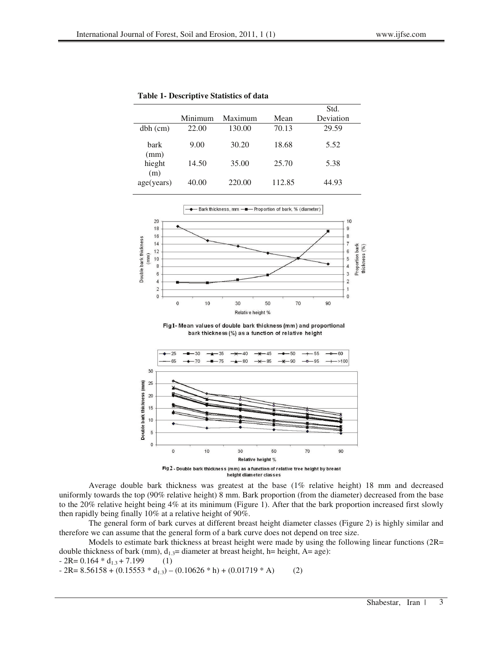**Table 1- Descriptive Statistics of data** 

|               | Minimum | Maximum | Mean   | Std.<br>Deviation |
|---------------|---------|---------|--------|-------------------|
|               |         |         |        |                   |
| $dbh$ (cm)    | 22.00   | 130.00  | 70.13  | 29.59             |
| bark<br>(mm)  | 9.00    | 30.20   | 18.68  | 5.52              |
| hieght<br>(m) | 14.50   | 35.00   | 25.70  | 5.38              |
| age(years)    | 40.00   | 220.00  | 112.85 | 44.93             |



Fig1- Mean values of double bark thickness (mm) and proportional bark thickness (%) as a function of relative height



height diameter classes

Average double bark thickness was greatest at the base (1% relative height) 18 mm and decreased uniformly towards the top (90% relative height) 8 mm. Bark proportion (from the diameter) decreased from the base to the 20% relative height being 4% at its minimum (Figure 1). After that the bark proportion increased first slowly then rapidly being finally 10% at a relative height of 90%.

The general form of bark curves at different breast height diameter classes (Figure 2) is highly similar and therefore we can assume that the general form of a bark curve does not depend on tree size.

Models to estimate bark thickness at breast height were made by using the following linear functions (2R= double thickness of bark (mm),  $d_{1,3}$ = diameter at breast height, h= height, A= age):

 $-2R= 0.164 * d_{13} + 7.199$  (1)

 $-2R= 8.56158 + (0.15553 * d_{1,3}) - (0.10626 * h) + (0.01719 * A)$  (2)